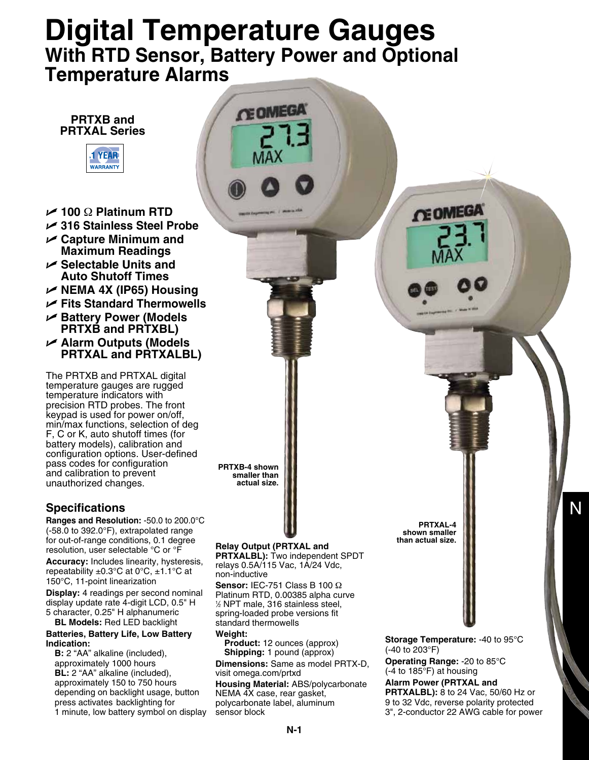## **Digital Temperature Gauges With RTD Sensor, Battery Power and Optional Temperature Alarms**